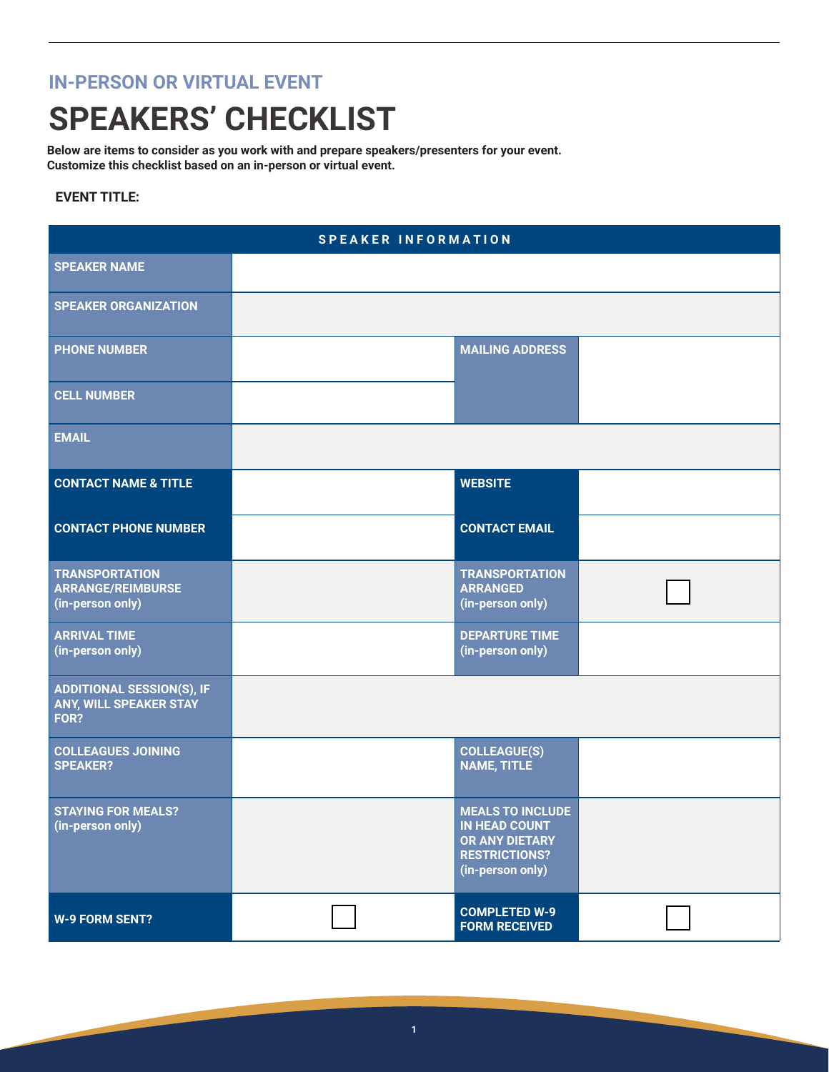## **IN-PERSON OR VIRTUAL EVENT**

## **SPEAKERS' CHECKLIST**

**Below are items to consider as you work with and prepare speakers/presenters for your event. Customize this checklist based on an in-person or virtual event.**

## **EVENT TITLE:**

| <b>SPEAKER INFORMATION</b>                                            |  |                                                                                                               |  |  |
|-----------------------------------------------------------------------|--|---------------------------------------------------------------------------------------------------------------|--|--|
| <b>SPEAKER NAME</b>                                                   |  |                                                                                                               |  |  |
| <b>SPEAKER ORGANIZATION</b>                                           |  |                                                                                                               |  |  |
| <b>PHONE NUMBER</b>                                                   |  | <b>MAILING ADDRESS</b>                                                                                        |  |  |
| <b>CELL NUMBER</b>                                                    |  |                                                                                                               |  |  |
| <b>EMAIL</b>                                                          |  |                                                                                                               |  |  |
| <b>CONTACT NAME &amp; TITLE</b>                                       |  | <b>WEBSITE</b>                                                                                                |  |  |
| <b>CONTACT PHONE NUMBER</b>                                           |  | <b>CONTACT EMAIL</b>                                                                                          |  |  |
| <b>TRANSPORTATION</b><br><b>ARRANGE/REIMBURSE</b><br>(in-person only) |  | <b>TRANSPORTATION</b><br><b>ARRANGED</b><br>(in-person only)                                                  |  |  |
| <b>ARRIVAL TIME</b><br>(in-person only)                               |  | <b>DEPARTURE TIME</b><br>(in-person only)                                                                     |  |  |
| <b>ADDITIONAL SESSION(S), IF</b><br>ANY, WILL SPEAKER STAY<br>FOR?    |  |                                                                                                               |  |  |
| <b>COLLEAGUES JOINING</b><br><b>SPEAKER?</b>                          |  | <b>COLLEAGUE(S)</b><br><b>NAME, TITLE</b>                                                                     |  |  |
| <b>STAYING FOR MEALS?</b><br>(in-person only)                         |  | <b>MEALS TO INCLUDE</b><br><b>IN HEAD COUNT</b><br>OR ANY DIETARY<br><b>RESTRICTIONS?</b><br>(in-person only) |  |  |
| <b>W-9 FORM SENT?</b>                                                 |  | <b>COMPLETED W-9</b><br><b>FORM RECEIVED</b>                                                                  |  |  |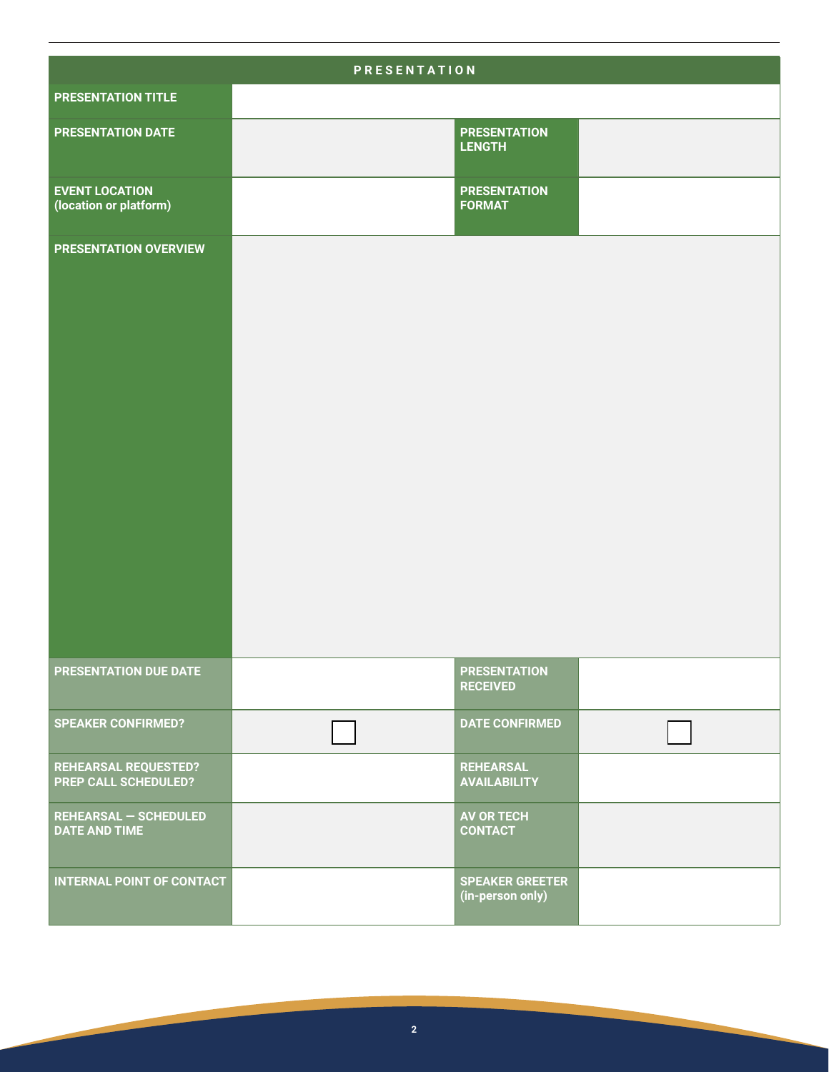| <b>PRESENTATION</b>                                        |  |                                            |  |  |
|------------------------------------------------------------|--|--------------------------------------------|--|--|
| <b>PRESENTATION TITLE</b>                                  |  |                                            |  |  |
| <b>PRESENTATION DATE</b>                                   |  | <b>PRESENTATION</b><br><b>LENGTH</b>       |  |  |
| <b>EVENT LOCATION</b><br>(location or platform)            |  | <b>PRESENTATION</b><br><b>FORMAT</b>       |  |  |
| <b>PRESENTATION OVERVIEW</b>                               |  |                                            |  |  |
| PRESENTATION DUE DATE                                      |  | <b>PRESENTATION</b><br><b>RECEIVED</b>     |  |  |
| <b>SPEAKER CONFIRMED?</b>                                  |  | <b>DATE CONFIRMED</b>                      |  |  |
| <b>REHEARSAL REQUESTED?</b><br><b>PREP CALL SCHEDULED?</b> |  | <b>REHEARSAL</b><br><b>AVAILABILITY</b>    |  |  |
| <b>REHEARSAL - SCHEDULED</b><br><b>DATE AND TIME</b>       |  | <b>AV OR TECH</b><br><b>CONTACT</b>        |  |  |
| <b>INTERNAL POINT OF CONTACT</b>                           |  | <b>SPEAKER GREETER</b><br>(in-person only) |  |  |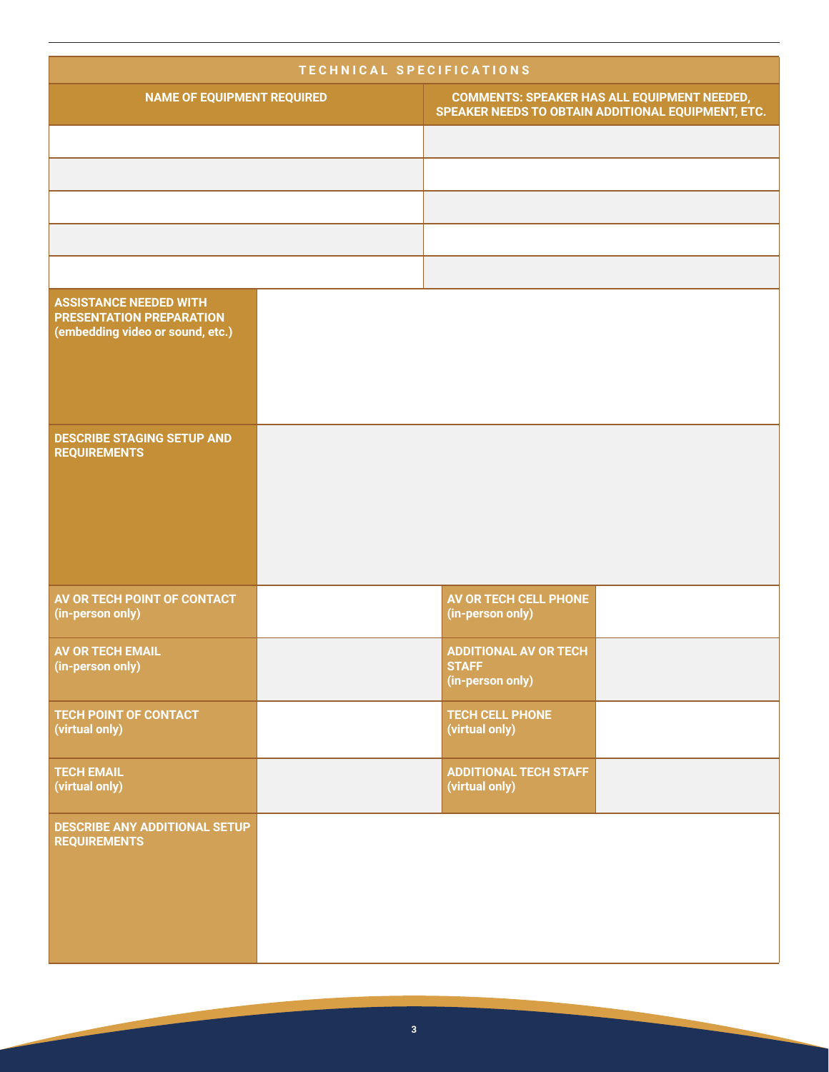| TECHNICAL SPECIFICATIONS                                                                             |  |                                                                                                          |  |  |
|------------------------------------------------------------------------------------------------------|--|----------------------------------------------------------------------------------------------------------|--|--|
| <b>NAME OF EQUIPMENT REQUIRED</b>                                                                    |  | <b>COMMENTS: SPEAKER HAS ALL EQUIPMENT NEEDED,</b><br>SPEAKER NEEDS TO OBTAIN ADDITIONAL EQUIPMENT, ETC. |  |  |
|                                                                                                      |  |                                                                                                          |  |  |
|                                                                                                      |  |                                                                                                          |  |  |
|                                                                                                      |  |                                                                                                          |  |  |
|                                                                                                      |  |                                                                                                          |  |  |
|                                                                                                      |  |                                                                                                          |  |  |
| <b>ASSISTANCE NEEDED WITH</b><br><b>PRESENTATION PREPARATION</b><br>(embedding video or sound, etc.) |  |                                                                                                          |  |  |
| <b>DESCRIBE STAGING SETUP AND</b><br><b>REQUIREMENTS</b>                                             |  |                                                                                                          |  |  |
| AV OR TECH POINT OF CONTACT<br>(in-person only)                                                      |  | <b>AV OR TECH CELL PHONE</b><br>(in-person only)                                                         |  |  |
| <b>AV OR TECH EMAIL</b><br>(in-person only)                                                          |  | <b>ADDITIONAL AV OR TECH</b><br><b>STAFF</b><br>(in-person only)                                         |  |  |
| <b>TECH POINT OF CONTACT</b><br>(virtual only)                                                       |  | <b>TECH CELL PHONE</b><br>(virtual only)                                                                 |  |  |
| <b>TECH EMAIL</b><br>(virtual only)                                                                  |  | <b>ADDITIONAL TECH STAFF</b><br>(virtual only)                                                           |  |  |
| DESCRIBE ANY ADDITIONAL SETUP<br><b>REQUIREMENTS</b>                                                 |  |                                                                                                          |  |  |